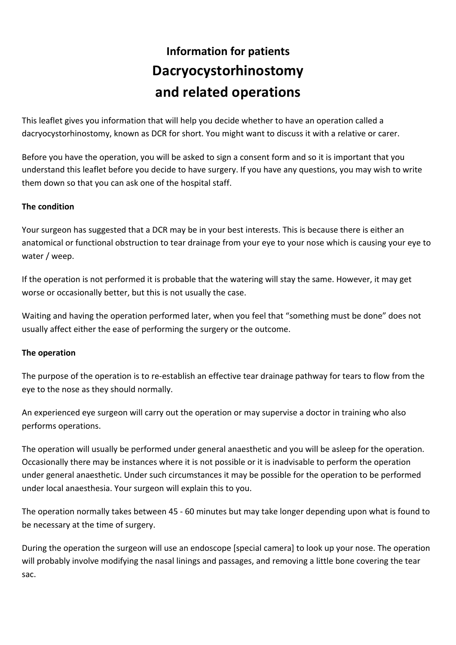# **Information for patients Dacryocystorhinostomy and related operations**

This leaflet gives you information that will help you decide whether to have an operation called a dacryocystorhinostomy, known as DCR for short. You might want to discuss it with a relative or carer.

Before you have the operation, you will be asked to sign a consent form and so it is important that you understand this leaflet before you decide to have surgery. If you have any questions, you may wish to write them down so that you can ask one of the hospital staff.

### **The condition**

Your surgeon has suggested that a DCR may be in your best interests. This is because there is either an anatomical or functional obstruction to tear drainage from your eye to your nose which is causing your eye to water / weep.

If the operation is not performed it is probable that the watering will stay the same. However, it may get worse or occasionally better, but this is not usually the case.

Waiting and having the operation performed later, when you feel that "something must be done" does not usually affect either the ease of performing the surgery or the outcome.

#### **The operation**

The purpose of the operation is to re-establish an effective tear drainage pathway for tears to flow from the eye to the nose as they should normally.

An experienced eye surgeon will carry out the operation or may supervise a doctor in training who also performs operations.

The operation will usually be performed under general anaesthetic and you will be asleep for the operation. Occasionally there may be instances where it is not possible or it is inadvisable to perform the operation under general anaesthetic. Under such circumstances it may be possible for the operation to be performed under local anaesthesia. Your surgeon will explain this to you.

The operation normally takes between 45 - 60 minutes but may take longer depending upon what is found to be necessary at the time of surgery.

During the operation the surgeon will use an endoscope [special camera] to look up your nose. The operation will probably involve modifying the nasal linings and passages, and removing a little bone covering the tear sac.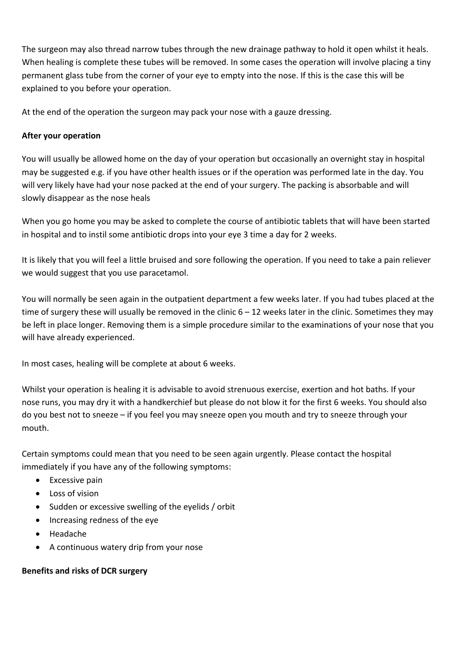The surgeon may also thread narrow tubes through the new drainage pathway to hold it open whilst it heals. When healing is complete these tubes will be removed. In some cases the operation will involve placing a tiny permanent glass tube from the corner of your eye to empty into the nose. If this is the case this will be explained to you before your operation.

At the end of the operation the surgeon may pack your nose with a gauze dressing.

## **After your operation**

You will usually be allowed home on the day of your operation but occasionally an overnight stay in hospital may be suggested e.g. if you have other health issues or if the operation was performed late in the day. You will very likely have had your nose packed at the end of your surgery. The packing is absorbable and will slowly disappear as the nose heals

When you go home you may be asked to complete the course of antibiotic tablets that will have been started in hospital and to instil some antibiotic drops into your eye 3 time a day for 2 weeks.

It is likely that you will feel a little bruised and sore following the operation. If you need to take a pain reliever we would suggest that you use paracetamol.

You will normally be seen again in the outpatient department a few weeks later. If you had tubes placed at the time of surgery these will usually be removed in the clinic  $6 - 12$  weeks later in the clinic. Sometimes they may be left in place longer. Removing them is a simple procedure similar to the examinations of your nose that you will have already experienced.

In most cases, healing will be complete at about 6 weeks.

Whilst your operation is healing it is advisable to avoid strenuous exercise, exertion and hot baths. If your nose runs, you may dry it with a handkerchief but please do not blow it for the first 6 weeks. You should also do you best not to sneeze – if you feel you may sneeze open you mouth and try to sneeze through your mouth.

Certain symptoms could mean that you need to be seen again urgently. Please contact the hospital immediately if you have any of the following symptoms:

- Excessive pain
- Loss of vision
- Sudden or excessive swelling of the eyelids / orbit
- Increasing redness of the eye
- Headache
- A continuous watery drip from your nose

# **Benefits and risks of DCR surgery**